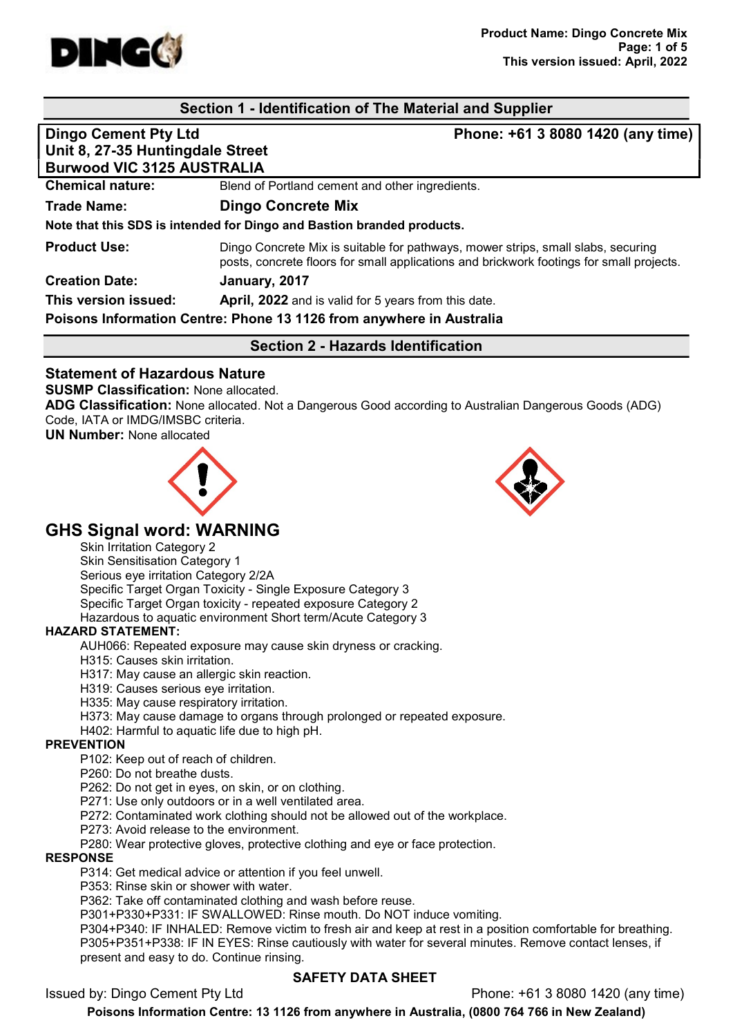

# Section 1 - Identification of The Material and Supplier

| <b>Dingo Cement Pty Ltd</b>                                            | Phone: +61 3 8080 1420 (any time)                                                                                                                                            |  |  |  |  |
|------------------------------------------------------------------------|------------------------------------------------------------------------------------------------------------------------------------------------------------------------------|--|--|--|--|
| Unit 8, 27-35 Huntingdale Street                                       |                                                                                                                                                                              |  |  |  |  |
| <b>Burwood VIC 3125 AUSTRALIA</b>                                      |                                                                                                                                                                              |  |  |  |  |
| <b>Chemical nature:</b>                                                | Blend of Portland cement and other ingredients.                                                                                                                              |  |  |  |  |
| <b>Trade Name:</b>                                                     | <b>Dingo Concrete Mix</b>                                                                                                                                                    |  |  |  |  |
| Note that this SDS is intended for Dingo and Bastion branded products. |                                                                                                                                                                              |  |  |  |  |
| <b>Product Use:</b>                                                    | Dingo Concrete Mix is suitable for pathways, mower strips, small slabs, securing<br>posts, concrete floors for small applications and brickwork footings for small projects. |  |  |  |  |
| <b>Creation Date:</b>                                                  | January, 2017                                                                                                                                                                |  |  |  |  |
| This version issued:                                                   | April, 2022 and is valid for 5 years from this date.                                                                                                                         |  |  |  |  |
| Poisons Information Centre: Phone 13 1126 from anywhere in Australia   |                                                                                                                                                                              |  |  |  |  |

Section 2 - Hazards Identification

# Statement of Hazardous Nature

#### SUSMP Classification: None allocated.

ADG Classification: None allocated. Not a Dangerous Good according to Australian Dangerous Goods (ADG) Code, IATA or IMDG/IMSBC criteria.

UN Number: None allocated





# GHS Signal word: WARNING

Skin Irritation Category 2 Skin Sensitisation Category 1 Serious eye irritation Category 2/2A Specific Target Organ Toxicity - Single Exposure Category 3 Specific Target Organ toxicity - repeated exposure Category 2 Hazardous to aquatic environment Short term/Acute Category 3

#### HAZARD STATEMENT:

AUH066: Repeated exposure may cause skin dryness or cracking.

H315: Causes skin irritation.

H317: May cause an allergic skin reaction.

H319: Causes serious eye irritation.

H335: May cause respiratory irritation.

H373: May cause damage to organs through prolonged or repeated exposure.

H402: Harmful to aquatic life due to high pH.

#### PREVENTION

P102: Keep out of reach of children.

P260: Do not breathe dusts.

P262: Do not get in eyes, on skin, or on clothing.

P271: Use only outdoors or in a well ventilated area.

P272: Contaminated work clothing should not be allowed out of the workplace.

P273: Avoid release to the environment.

P280: Wear protective gloves, protective clothing and eye or face protection.

#### RESPONSE

P314: Get medical advice or attention if you feel unwell.

P353: Rinse skin or shower with water.

P362: Take off contaminated clothing and wash before reuse.

P301+P330+P331: IF SWALLOWED: Rinse mouth. Do NOT induce vomiting.

P304+P340: IF INHALED: Remove victim to fresh air and keep at rest in a position comfortable for breathing. P305+P351+P338: IF IN EYES: Rinse cautiously with water for several minutes. Remove contact lenses, if present and easy to do. Continue rinsing.

# SAFETY DATA SHEET

Issued by: Dingo Cement Pty Ltd Phone: +61 3 8080 1420 (any time)

Poisons Information Centre: 13 1126 from anywhere in Australia, (0800 764 766 in New Zealand)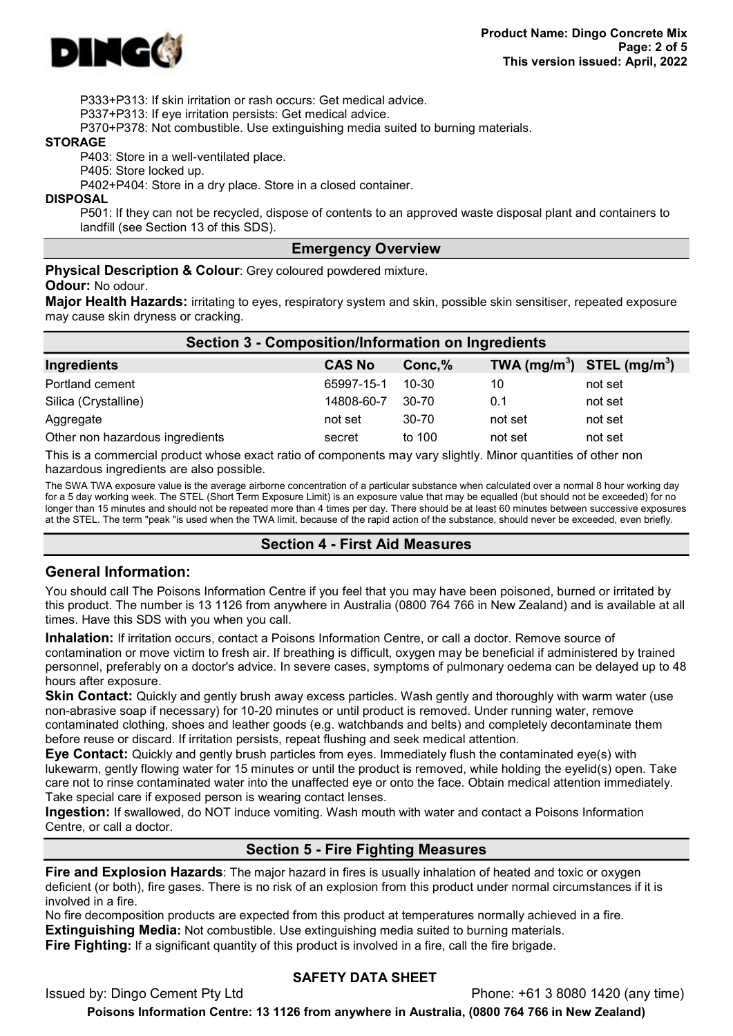

P333+P313: If skin irritation or rash occurs: Get medical advice.

P337+P313: If eye irritation persists: Get medical advice.

P370+P378: Not combustible. Use extinguishing media suited to burning materials.

#### **STORAGE**

P403: Store in a well-ventilated place.

P405: Store locked up.

P402+P404: Store in a dry place. Store in a closed container.

**DISPOSAL** 

P501: If they can not be recycled, dispose of contents to an approved waste disposal plant and containers to landfill (see Section 13 of this SDS).

#### Emergency Overview

Physical Description & Colour: Grey coloured powdered mixture.

#### Odour: No odour.

Major Health Hazards: irritating to eyes, respiratory system and skin, possible skin sensitiser, repeated exposure may cause skin dryness or cracking.

| <b>Section 3 - Composition/Information on Ingredients</b> |               |        |                                                    |         |  |
|-----------------------------------------------------------|---------------|--------|----------------------------------------------------|---------|--|
| Ingredients                                               | <b>CAS No</b> | Conc,% | TWA (mg/m <sup>3</sup> ) STEL (mg/m <sup>3</sup> ) |         |  |
| Portland cement                                           | 65997-15-1    | 10-30  | 10                                                 | not set |  |
| Silica (Crystalline)                                      | 14808-60-7    | 30-70  | 0.1                                                | not set |  |
| Aggregate                                                 | not set       | 30-70  | not set                                            | not set |  |
| Other non hazardous ingredients                           | secret        | to 100 | not set                                            | not set |  |

This is a commercial product whose exact ratio of components may vary slightly. Minor quantities of other non hazardous ingredients are also possible.

The SWA TWA exposure value is the average airborne concentration of a particular substance when calculated over a normal 8 hour working day for a 5 day working week. The STEL (Short Term Exposure Limit) is an exposure value that may be equalled (but should not be exceeded) for no longer than 15 minutes and should not be repeated more than 4 times per day. There should be at least 60 minutes between successive exposures at the STEL. The term "peak "is used when the TWA limit, because of the rapid action of the substance, should never be exceeded, even briefly.

# Section 4 - First Aid Measures

#### General Information:

You should call The Poisons Information Centre if you feel that you may have been poisoned, burned or irritated by this product. The number is 13 1126 from anywhere in Australia (0800 764 766 in New Zealand) and is available at all times. Have this SDS with you when you call.

Inhalation: If irritation occurs, contact a Poisons Information Centre, or call a doctor. Remove source of contamination or move victim to fresh air. If breathing is difficult, oxygen may be beneficial if administered by trained personnel, preferably on a doctor's advice. In severe cases, symptoms of pulmonary oedema can be delayed up to 48 hours after exposure.

**Skin Contact:** Quickly and gently brush away excess particles. Wash gently and thoroughly with warm water (use non-abrasive soap if necessary) for 10-20 minutes or until product is removed. Under running water, remove contaminated clothing, shoes and leather goods (e.g. watchbands and belts) and completely decontaminate them before reuse or discard. If irritation persists, repeat flushing and seek medical attention.

Eye Contact: Quickly and gently brush particles from eyes. Immediately flush the contaminated eye(s) with lukewarm, gently flowing water for 15 minutes or until the product is removed, while holding the eyelid(s) open. Take care not to rinse contaminated water into the unaffected eye or onto the face. Obtain medical attention immediately. Take special care if exposed person is wearing contact lenses.

Ingestion: If swallowed, do NOT induce vomiting. Wash mouth with water and contact a Poisons Information Centre, or call a doctor.

# Section 5 - Fire Fighting Measures

Fire and Explosion Hazards: The major hazard in fires is usually inhalation of heated and toxic or oxygen deficient (or both), fire gases. There is no risk of an explosion from this product under normal circumstances if it is involved in a fire.

No fire decomposition products are expected from this product at temperatures normally achieved in a fire. **Extinguishing Media:** Not combustible. Use extinguishing media suited to burning materials. **Fire Fighting:** If a significant quantity of this product is involved in a fire, call the fire brigade.

# SAFETY DATA SHEET

Issued by: Dingo Cement Pty Ltd Phone: +61 3 8080 1420 (any time)

Poisons Information Centre: 13 1126 from anywhere in Australia, (0800 764 766 in New Zealand)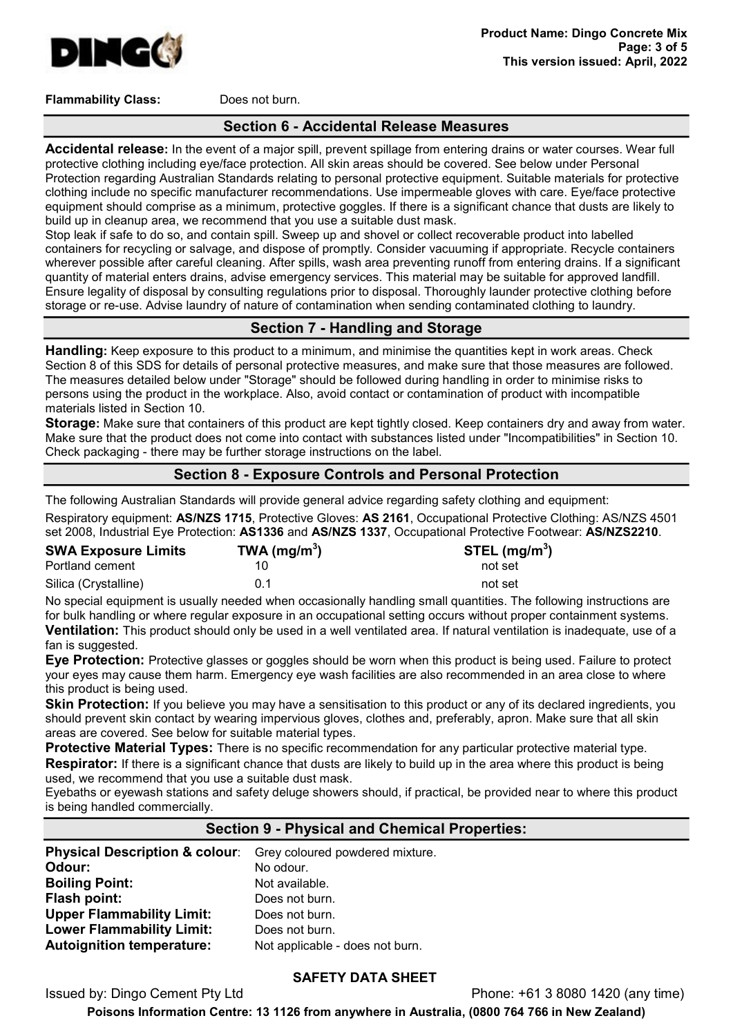

Flammability Class: Does not burn.

# Section 6 - Accidental Release Measures

Accidental release: In the event of a major spill, prevent spillage from entering drains or water courses. Wear full protective clothing including eye/face protection. All skin areas should be covered. See below under Personal Protection regarding Australian Standards relating to personal protective equipment. Suitable materials for protective clothing include no specific manufacturer recommendations. Use impermeable gloves with care. Eye/face protective equipment should comprise as a minimum, protective goggles. If there is a significant chance that dusts are likely to build up in cleanup area, we recommend that you use a suitable dust mask.

Stop leak if safe to do so, and contain spill. Sweep up and shovel or collect recoverable product into labelled containers for recycling or salvage, and dispose of promptly. Consider vacuuming if appropriate. Recycle containers wherever possible after careful cleaning. After spills, wash area preventing runoff from entering drains. If a significant quantity of material enters drains, advise emergency services. This material may be suitable for approved landfill. Ensure legality of disposal by consulting regulations prior to disposal. Thoroughly launder protective clothing before storage or re-use. Advise laundry of nature of contamination when sending contaminated clothing to laundry.

# Section 7 - Handling and Storage

Handling: Keep exposure to this product to a minimum, and minimise the quantities kept in work areas. Check Section 8 of this SDS for details of personal protective measures, and make sure that those measures are followed. The measures detailed below under "Storage" should be followed during handling in order to minimise risks to persons using the product in the workplace. Also, avoid contact or contamination of product with incompatible materials listed in Section 10.

Storage: Make sure that containers of this product are kept tightly closed. Keep containers dry and away from water. Make sure that the product does not come into contact with substances listed under "Incompatibilities" in Section 10. Check packaging - there may be further storage instructions on the label.

# Section 8 - Exposure Controls and Personal Protection

The following Australian Standards will provide general advice regarding safety clothing and equipment: Respiratory equipment: AS/NZS 1715, Protective Gloves: AS 2161, Occupational Protective Clothing: AS/NZS 4501 set 2008, Industrial Eye Protection: AS1336 and AS/NZS 1337, Occupational Protective Footwear: AS/NZS2210.

| <b>SWA Exposure Limits</b> | TWA (mg/m <sup>3</sup> ) | STEL $(mg/m3)$ |
|----------------------------|--------------------------|----------------|
| Portland cement            |                          | not set        |
| Silica (Crystalline)       | በ 1                      | not set        |

No special equipment is usually needed when occasionally handling small quantities. The following instructions are for bulk handling or where regular exposure in an occupational setting occurs without proper containment systems. Ventilation: This product should only be used in a well ventilated area. If natural ventilation is inadequate, use of a fan is suggested.

Eye Protection: Protective glasses or goggles should be worn when this product is being used. Failure to protect your eyes may cause them harm. Emergency eye wash facilities are also recommended in an area close to where this product is being used.

**Skin Protection:** If you believe you may have a sensitisation to this product or any of its declared ingredients, you should prevent skin contact by wearing impervious gloves, clothes and, preferably, apron. Make sure that all skin areas are covered. See below for suitable material types.

**Protective Material Types:** There is no specific recommendation for any particular protective material type. Respirator: If there is a significant chance that dusts are likely to build up in the area where this product is being used, we recommend that you use a suitable dust mask.

Eyebaths or eyewash stations and safety deluge showers should, if practical, be provided near to where this product is being handled commercially.

# Section 9 - Physical and Chemical Properties:

Physical Description & colour: Grey coloured powdered mixture. Odour: No odour. **Boiling Point:** Not available. Flash point: Does not burn. Upper Flammability Limit: Does not burn. Lower Flammability Limit: Does not burn. Autoignition temperature: Not applicable - does not burn.

# SAFETY DATA SHEET

Issued by: Dingo Cement Pty Ltd Phone: +61 3 8080 1420 (any time)

Poisons Information Centre: 13 1126 from anywhere in Australia, (0800 764 766 in New Zealand)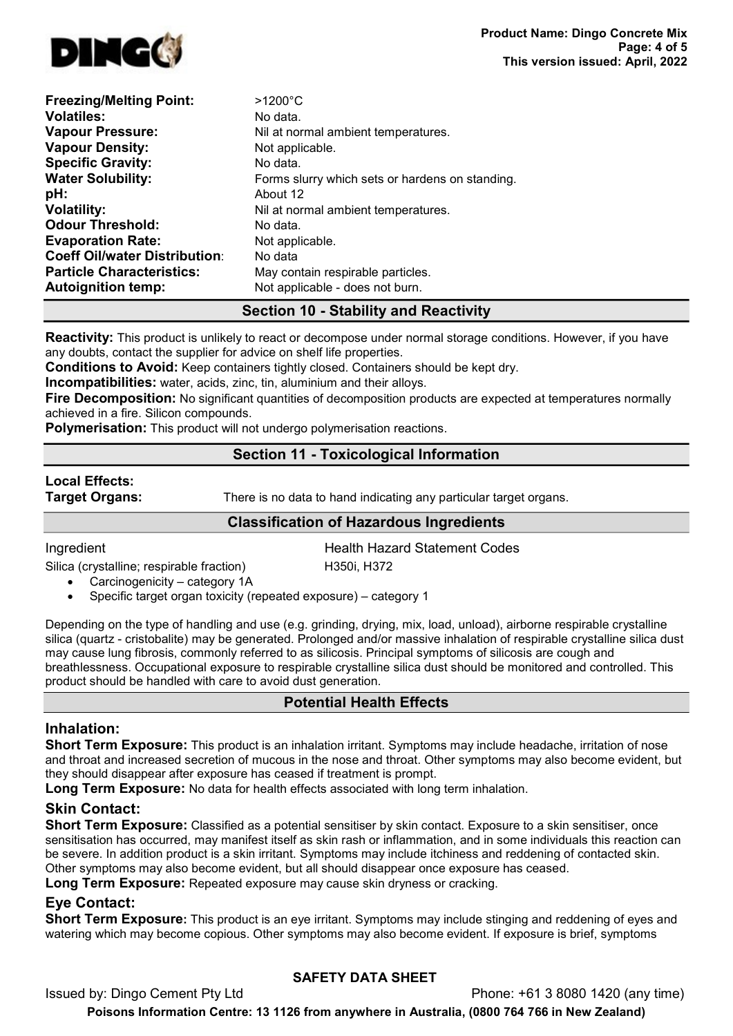

| <b>Freezing/Melting Point:</b>       | $>1200^{\circ}$ C                               |
|--------------------------------------|-------------------------------------------------|
| <b>Volatiles:</b>                    | No data.                                        |
| <b>Vapour Pressure:</b>              | Nil at normal ambient temperatures.             |
| <b>Vapour Density:</b>               | Not applicable.                                 |
| <b>Specific Gravity:</b>             | No data.                                        |
| <b>Water Solubility:</b>             | Forms slurry which sets or hardens on standing. |
| pH:                                  | About 12                                        |
| <b>Volatility:</b>                   | Nil at normal ambient temperatures.             |
| <b>Odour Threshold:</b>              | No data.                                        |
| <b>Evaporation Rate:</b>             | Not applicable.                                 |
| <b>Coeff Oil/water Distribution:</b> | No data                                         |
| <b>Particle Characteristics:</b>     | May contain respirable particles.               |
| <b>Autoignition temp:</b>            | Not applicable - does not burn.                 |

# Section 10 - Stability and Reactivity

Reactivity: This product is unlikely to react or decompose under normal storage conditions. However, if you have any doubts, contact the supplier for advice on shelf life properties.

Conditions to Avoid: Keep containers tightly closed. Containers should be kept dry.

Incompatibilities: water, acids, zinc, tin, aluminium and their alloys.

Fire Decomposition: No significant quantities of decomposition products are expected at temperatures normally achieved in a fire. Silicon compounds.

**Polymerisation:** This product will not undergo polymerisation reactions.

# Section 11 - Toxicological Information

# Local Effects:

**Target Organs:** There is no data to hand indicating any particular target organs.

# Classification of Hazardous Ingredients

**Ingredient Codes Health Hazard Statement Codes** 

Silica (crystalline; respirable fraction) H350i, H372

- Carcinogenicity category 1A
- Specific target organ toxicity (repeated exposure) category 1

Depending on the type of handling and use (e.g. grinding, drying, mix, load, unload), airborne respirable crystalline silica (quartz - cristobalite) may be generated. Prolonged and/or massive inhalation of respirable crystalline silica dust may cause lung fibrosis, commonly referred to as silicosis. Principal symptoms of silicosis are cough and breathlessness. Occupational exposure to respirable crystalline silica dust should be monitored and controlled. This product should be handled with care to avoid dust generation.

# Potential Health Effects

# Inhalation:

Short Term Exposure: This product is an inhalation irritant. Symptoms may include headache, irritation of nose and throat and increased secretion of mucous in the nose and throat. Other symptoms may also become evident, but they should disappear after exposure has ceased if treatment is prompt.

Long Term Exposure: No data for health effects associated with long term inhalation.

# Skin Contact:

**Short Term Exposure:** Classified as a potential sensitiser by skin contact. Exposure to a skin sensitiser, once sensitisation has occurred, may manifest itself as skin rash or inflammation, and in some individuals this reaction can be severe. In addition product is a skin irritant. Symptoms may include itchiness and reddening of contacted skin. Other symptoms may also become evident, but all should disappear once exposure has ceased.

Long Term Exposure: Repeated exposure may cause skin dryness or cracking.

# Eye Contact:

**Short Term Exposure:** This product is an eye irritant. Symptoms may include stinging and reddening of eyes and watering which may become copious. Other symptoms may also become evident. If exposure is brief, symptoms

# SAFETY DATA SHEET

Issued by: Dingo Cement Pty Ltd Phone: +61 3 8080 1420 (any time) Poisons Information Centre: 13 1126 from anywhere in Australia, (0800 764 766 in New Zealand)